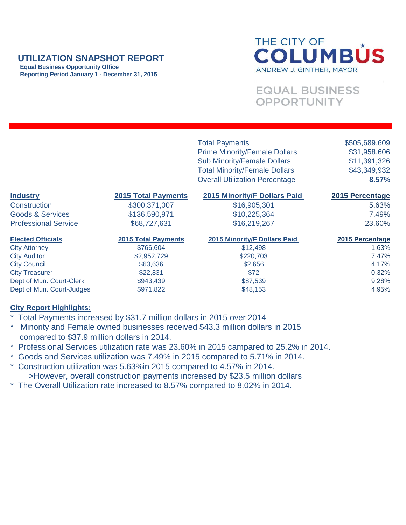## **UTILIZATION SNAPSHOT REPORT**

 **Equal Business Opportunity Office Reporting Period January 1 - December 31, 2015**



**EQUAL BUSINESS OPPORTUNITY** 

|                             |                            | <b>Total Payments</b>                 | \$505,689,609   |
|-----------------------------|----------------------------|---------------------------------------|-----------------|
|                             |                            | <b>Prime Minority/Female Dollars</b>  | \$31,958,606    |
|                             |                            | <b>Sub Minority/Female Dollars</b>    | \$11,391,326    |
|                             |                            | <b>Total Minority/Female Dollars</b>  | \$43,349,932    |
|                             |                            | <b>Overall Utilization Percentage</b> | 8.57%           |
| <b>Industry</b>             | <b>2015 Total Payments</b> | <b>2015 Minority/F Dollars Paid</b>   | 2015 Percentage |
| Construction                | \$300,371,007              | \$16,905,301                          | 5.63%           |
| <b>Goods &amp; Services</b> | \$136,590,971              | \$10,225,364                          | 7.49%           |
| <b>Professional Service</b> | \$68,727,631               | \$16,219,267                          | 23.60%          |
| <b>Elected Officials</b>    | <b>2015 Total Payments</b> | <b>2015 Minority/F Dollars Paid</b>   | 2015 Percentage |
| <b>City Attorney</b>        | \$766,604                  | \$12,498                              | 1.63%           |
| <b>City Auditor</b>         | \$2,952,729                | \$220,703                             | 7.47%           |
| <b>City Council</b>         | \$63,636                   | \$2,656                               | 4.17%           |
| <b>City Treasurer</b>       | \$22,831                   | \$72                                  | 0.32%           |
| Dept of Mun. Court-Clerk    | \$943,439                  | \$87,539                              | 9.28%           |
| Dept of Mun. Court-Judges   | \$971,822                  | \$48,153                              | 4.95%           |

## **City Report Highlights:**

- \* Total Payments increased by \$31.7 million dollars in 2015 over 2014
- Minority and Female owned businesses received \$43.3 million dollars in 2015 compared to \$37.9 million dollars in 2014.
- \* Professional Services utilization rate was 23.60% in 2015 campared to 25.2% in 2014.
- \* Goods and Services utilization was 7.49% in 2015 compared to 5.71% in 2014.
- \* Construction utilization was 5.63%in 2015 compared to 4.57% in 2014. >However, overall construction payments increased by \$23.5 million dollars
- \* The Overall Utilization rate increased to 8.57% compared to 8.02% in 2014.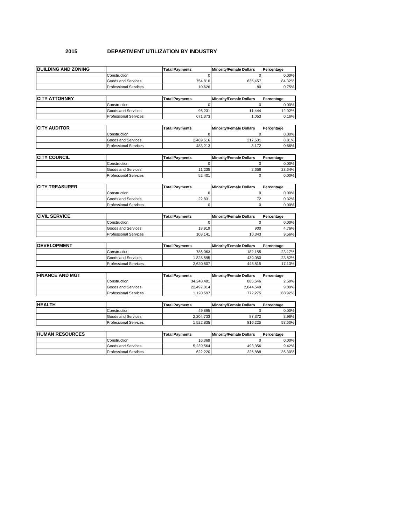## **2015 DEPARTMENT UTILIZATION BY INDUSTRY**

| <b>BUILDING AND ZONING</b> |                              | <b>Total Payments</b> | <b>Minority/Female Dollars</b> | Percentage |
|----------------------------|------------------------------|-----------------------|--------------------------------|------------|
|                            | Construction                 | $\mathbf 0$           | 0                              | 0.00%      |
|                            | Goods and Services           | 754,810               | 636,457                        | 84.32%     |
|                            | <b>Professional Services</b> | 10,626                | 80                             | 0.75%      |
| <b>CITY ATTORNEY</b>       |                              | <b>Total Payments</b> | <b>Minority/Female Dollars</b> | Percentage |
|                            | Construction                 | $\mathbf 0$           | $\pmb{0}$                      | 0.00%      |
|                            | Goods and Services           | 95,231                | 11,444                         | 12.02%     |
|                            | <b>Professional Services</b> | 671,373               | 1,053                          | 0.16%      |
|                            |                              |                       |                                |            |
| <b>CITY AUDITOR</b>        |                              | <b>Total Payments</b> | <b>Minority/Female Dollars</b> | Percentage |
|                            | Construction                 | $\mathbf 0$           | $\mathbf 0$                    | 0.00%      |
|                            | Goods and Services           | 2,469,516             | 217,531                        | 8.81%      |
|                            | <b>Professional Services</b> | 483,213               | 3,172                          | 0.66%      |
|                            |                              |                       |                                |            |
| <b>CITY COUNCIL</b>        |                              | <b>Total Payments</b> | <b>Minority/Female Dollars</b> | Percentage |
|                            | Construction                 | $\Omega$              | $\mathbf 0$                    | 0.00%      |
|                            | <b>Goods and Services</b>    | 11,235                | 2,656                          | 23.64%     |
|                            | <b>Professional Services</b> | 52,401                | 0                              | 0.00%      |
|                            |                              |                       |                                |            |
| <b>CITY TREASURER</b>      |                              | <b>Total Payments</b> | <b>Minority/Female Dollars</b> | Percentage |
|                            | Construction                 | $\mathbf 0$           | 0                              | 0.00%      |
|                            | Goods and Services           | 22,831                | 72                             | 0.32%      |
|                            | <b>Professional Services</b> | $\mathbf 0$           | $\mathbf 0$                    | 0.00%      |
| <b>CIVIL SERVICE</b>       |                              | <b>Total Payments</b> | <b>Minority/Female Dollars</b> | Percentage |
|                            | Construction                 | $\Omega$              | $\mathbf 0$                    | 0.00%      |
|                            | Goods and Services           | 18,919                | 900                            | 4.76%      |
|                            | <b>Professional Services</b> | 108,141               | 10,343                         | 9.56%      |
|                            |                              |                       |                                |            |
| <b>DEVELOPMENT</b>         |                              | <b>Total Payments</b> | <b>Minority/Female Dollars</b> | Percentage |
|                            | Construction                 | 786,063               | 182,155                        | 23.17%     |
|                            | Goods and Services           | 1,828,595             | 430,050                        | 23.52%     |
|                            | <b>Professional Services</b> | 2,620,807             | 448,815                        | 17.13%     |
| <b>FINANCE AND MGT</b>     |                              | <b>Total Payments</b> | <b>Minority/Female Dollars</b> | Percentage |
|                            | Construction                 | 34,248,481            | 886,546                        | 2.59%      |
|                            | <b>Goods and Services</b>    | 22,497,014            | 2,044,549                      | 9.09%      |
|                            | <b>Professional Services</b> | 1,120,597             | 772,275                        | 68.92%     |
|                            |                              |                       |                                |            |
| <b>HEALTH</b>              |                              | <b>Total Payments</b> | <b>Minority/Female Dollars</b> | Percentage |
|                            | Construction                 | 49,895                | $\mathbf 0$                    | 0.00%      |
|                            | Goods and Services           | 2,204,733             | 87,372                         | 3.96%      |
|                            | <b>Professional Services</b> | 1,522,835             | 816,225                        | 53.60%     |
| <b>HUMAN RESOURCES</b>     |                              | <b>Total Payments</b> | <b>Minority/Female Dollars</b> | Percentage |
|                            | Construction                 | 16,369                | $\pmb{0}$                      | 0.00%      |
|                            | Goods and Services           | 5,239,564             | 493,356                        | 9.42%      |
|                            | <b>Professional Services</b> | 622,220               | 225,888                        | 36.30%     |
|                            |                              |                       |                                |            |